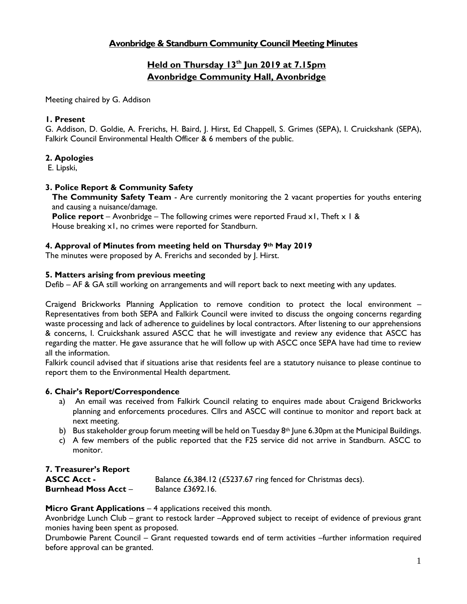# **Avonbridge & Standburn Community Council Meeting Minutes**

# **Held on Thursday 13th Jun 2019 at 7.15pm Avonbridge Community Hall, Avonbridge**

Meeting chaired by G. Addison

#### **1. Present**

G. Addison, D. Goldie, A. Frerichs, H. Baird, J. Hirst, Ed Chappell, S. Grimes (SEPA), I. Cruickshank (SEPA), Falkirk Council Environmental Health Officer & 6 members of the public.

#### **2. Apologies**

E. Lipski,

## **3. Police Report & Community Safety**

**The Community Safety Team** - Are currently monitoring the 2 vacant properties for youths entering and causing a nuisance/damage.

**Police report** – Avonbridge – The following crimes were reported Fraud x1, Theft x 1 & House breaking x1, no crimes were reported for Standburn.

#### **4. Approval of Minutes from meeting held on Thursday 9th May 2019**

The minutes were proposed by A. Frerichs and seconded by J. Hirst.

#### **5. Matters arising from previous meeting**

Defib – AF & GA still working on arrangements and will report back to next meeting with any updates.

Craigend Brickworks Planning Application to remove condition to protect the local environment – Representatives from both SEPA and Falkirk Council were invited to discuss the ongoing concerns regarding waste processing and lack of adherence to guidelines by local contractors. After listening to our apprehensions & concerns, I. Cruickshank assured ASCC that he will investigate and review any evidence that ASCC has regarding the matter. He gave assurance that he will follow up with ASCC once SEPA have had time to review all the information.

Falkirk council advised that if situations arise that residents feel are a statutory nuisance to please continue to report them to the Environmental Health department.

#### **6. Chair's Report/Correspondence**

- a) An email was received from Falkirk Council relating to enquires made about Craigend Brickworks planning and enforcements procedures. Cllrs and ASCC will continue to monitor and report back at next meeting.
- b) Bus stakeholder group forum meeting will be held on Tuesday  $8<sup>th</sup>$  June 6.30pm at the Municipal Buildings.
- c) A few members of the public reported that the F25 service did not arrive in Standburn. ASCC to monitor.

# **7. Treasurer's Report**

| <b>ASCC Acct -</b>          | Balance £6,384.12 (£5237.67 ring fenced for Christmas decs). |
|-----------------------------|--------------------------------------------------------------|
| <b>Burnhead Moss Acct -</b> | Balance £3692.16.                                            |

#### **Micro Grant Applications – 4 applications received this month.**

Avonbridge Lunch Club – grant to restock larder –Approved subject to receipt of evidence of previous grant monies having been spent as proposed.

Drumbowie Parent Council – Grant requested towards end of term activities –further information required before approval can be granted.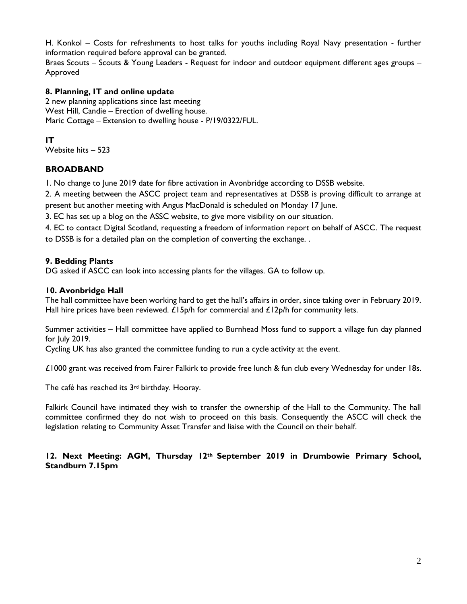H. Konkol – Costs for refreshments to host talks for youths including Royal Navy presentation - further information required before approval can be granted.

Braes Scouts – Scouts & Young Leaders - Request for indoor and outdoor equipment different ages groups – Approved

## **8. Planning, IT and online update**

2 new planning applications since last meeting West Hill, Candie – Erection of dwelling house. Maric Cottage – Extension to dwelling house - P/19/0322/FUL.

## **IT**

Website hits – 523

## **BROADBAND**

1. No change to June 2019 date for fibre activation in Avonbridge according to DSSB website.

2. A meeting between the ASCC project team and representatives at DSSB is proving difficult to arrange at present but another meeting with Angus MacDonald is scheduled on Monday 17 June.

3. EC has set up a blog on the ASSC website, to give more visibility on our situation.

4. EC to contact Digital Scotland, requesting a freedom of information report on behalf of ASCC. The request to DSSB is for a detailed plan on the completion of converting the exchange. .

## **9. Bedding Plants**

DG asked if ASCC can look into accessing plants for the villages. GA to follow up.

## **10. Avonbridge Hall**

The hall committee have been working hard to get the hall's affairs in order, since taking over in February 2019. Hall hire prices have been reviewed.  $£15p/h$  for commercial and  $£12p/h$  for community lets.

Summer activities – Hall committee have applied to Burnhead Moss fund to support a village fun day planned for July 2019.

Cycling UK has also granted the committee funding to run a cycle activity at the event.

£1000 grant was received from Fairer Falkirk to provide free lunch & fun club every Wednesday for under 18s.

The café has reached its 3<sup>rd</sup> birthday. Hooray.

Falkirk Council have intimated they wish to transfer the ownership of the Hall to the Community. The hall committee confirmed they do not wish to proceed on this basis. Consequently the ASCC will check the legislation relating to Community Asset Transfer and liaise with the Council on their behalf.

#### **12. Next Meeting: AGM, Thursday 12th September 2019 in Drumbowie Primary School, Standburn 7.15pm**